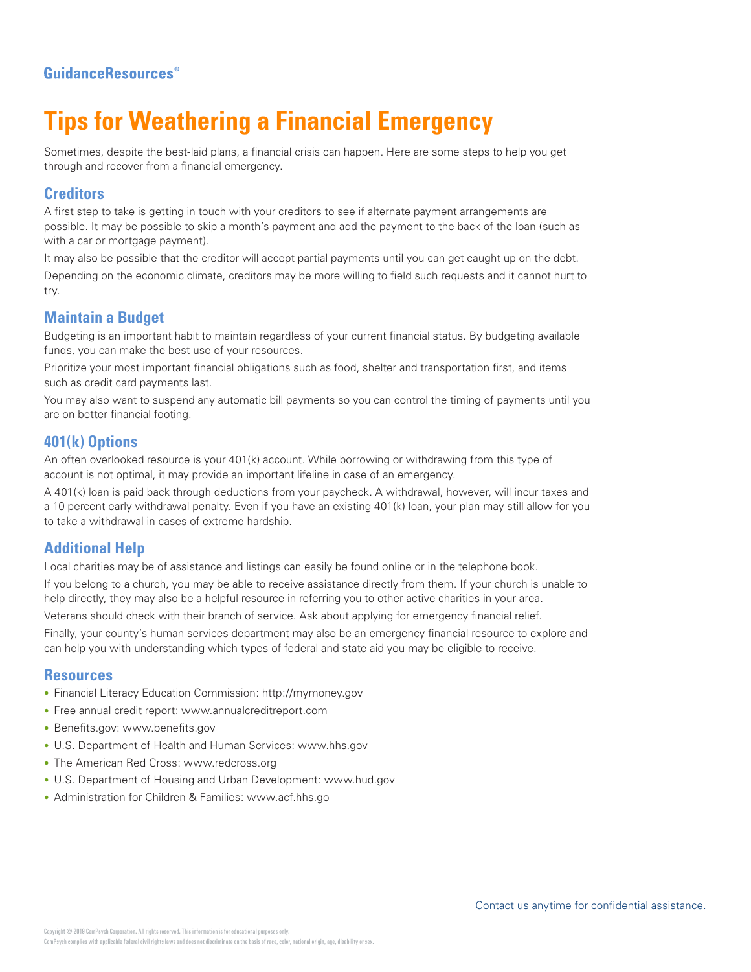# **Tips for Weathering a Financial Emergency**

Sometimes, despite the best-laid plans, a financial crisis can happen. Here are some steps to help you get through and recover from a financial emergency.

### **Creditors**

A first step to take is getting in touch with your creditors to see if alternate payment arrangements are possible. It may be possible to skip a month's payment and add the payment to the back of the loan (such as with a car or mortgage payment).

It may also be possible that the creditor will accept partial payments until you can get caught up on the debt. Depending on the economic climate, creditors may be more willing to field such requests and it cannot hurt to try.

### **Maintain a Budget**

Budgeting is an important habit to maintain regardless of your current financial status. By budgeting available funds, you can make the best use of your resources.

Prioritize your most important financial obligations such as food, shelter and transportation first, and items such as credit card payments last.

You may also want to suspend any automatic bill payments so you can control the timing of payments until you are on better financial footing.

### **401(k) Options**

An often overlooked resource is your 401(k) account. While borrowing or withdrawing from this type of account is not optimal, it may provide an important lifeline in case of an emergency.

A 401(k) loan is paid back through deductions from your paycheck. A withdrawal, however, will incur taxes and a 10 percent early withdrawal penalty. Even if you have an existing 401(k) loan, your plan may still allow for you to take a withdrawal in cases of extreme hardship.

### **Additional Help**

Local charities may be of assistance and listings can easily be found online or in the telephone book.

If you belong to a church, you may be able to receive assistance directly from them. If your church is unable to help directly, they may also be a helpful resource in referring you to other active charities in your area. Veterans should check with their branch of service. Ask about applying for emergency financial relief.

Finally, your county's human services department may also be an emergency financial resource to explore and can help you with understanding which types of federal and state aid you may be eligible to receive.

- Financial Literacy Education Commission: http://mymoney.gov
- Free annual credit report: www.annualcreditreport.com
- Benefits.gov: www.benefits.gov
- U.S. Department of Health and Human Services: www.hhs.gov
- The American Red Cross: www.redcross.org
- U.S. Department of Housing and Urban Development: www.hud.gov
- Administration for Children & Families: www.acf.hhs.go

Copyright © 2019 ComPsych Corporation. All rights reserved. This information is for educational purposes only.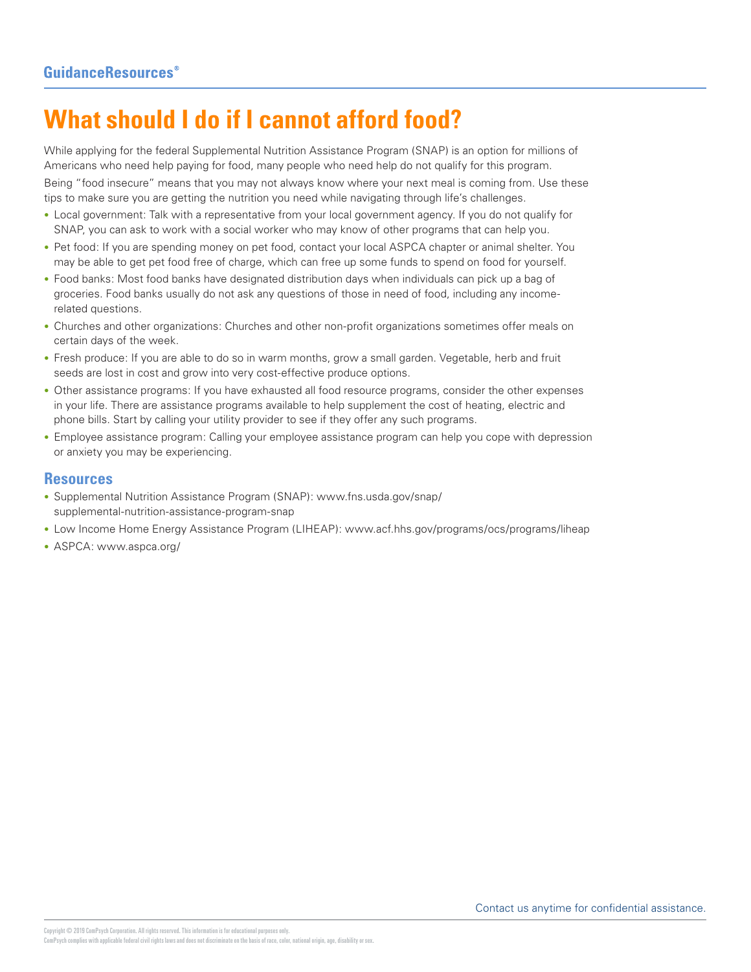# **What should I do if I cannot afford food?**

While applying for the federal Supplemental Nutrition Assistance Program (SNAP) is an option for millions of Americans who need help paying for food, many people who need help do not qualify for this program.

Being "food insecure" means that you may not always know where your next meal is coming from. Use these tips to make sure you are getting the nutrition you need while navigating through life's challenges.

- Local government: Talk with a representative from your local government agency. If you do not qualify for SNAP, you can ask to work with a social worker who may know of other programs that can help you.
- Pet food: If you are spending money on pet food, contact your local ASPCA chapter or animal shelter. You may be able to get pet food free of charge, which can free up some funds to spend on food for yourself.
- Food banks: Most food banks have designated distribution days when individuals can pick up a bag of groceries. Food banks usually do not ask any questions of those in need of food, including any incomerelated questions.
- Churches and other organizations: Churches and other non-profit organizations sometimes offer meals on certain days of the week.
- Fresh produce: If you are able to do so in warm months, grow a small garden. Vegetable, herb and fruit seeds are lost in cost and grow into very cost-effective produce options.
- Other assistance programs: If you have exhausted all food resource programs, consider the other expenses in your life. There are assistance programs available to help supplement the cost of heating, electric and phone bills. Start by calling your utility provider to see if they offer any such programs.
- Employee assistance program: Calling your employee assistance program can help you cope with depression or anxiety you may be experiencing.

- Supplemental Nutrition Assistance Program (SNAP): www.fns.usda.gov/snap/ supplemental-nutrition-assistance-program-snap
- Low Income Home Energy Assistance Program (LIHEAP): www.acf.hhs.gov/programs/ocs/programs/liheap
- ASPCA: www.aspca.org/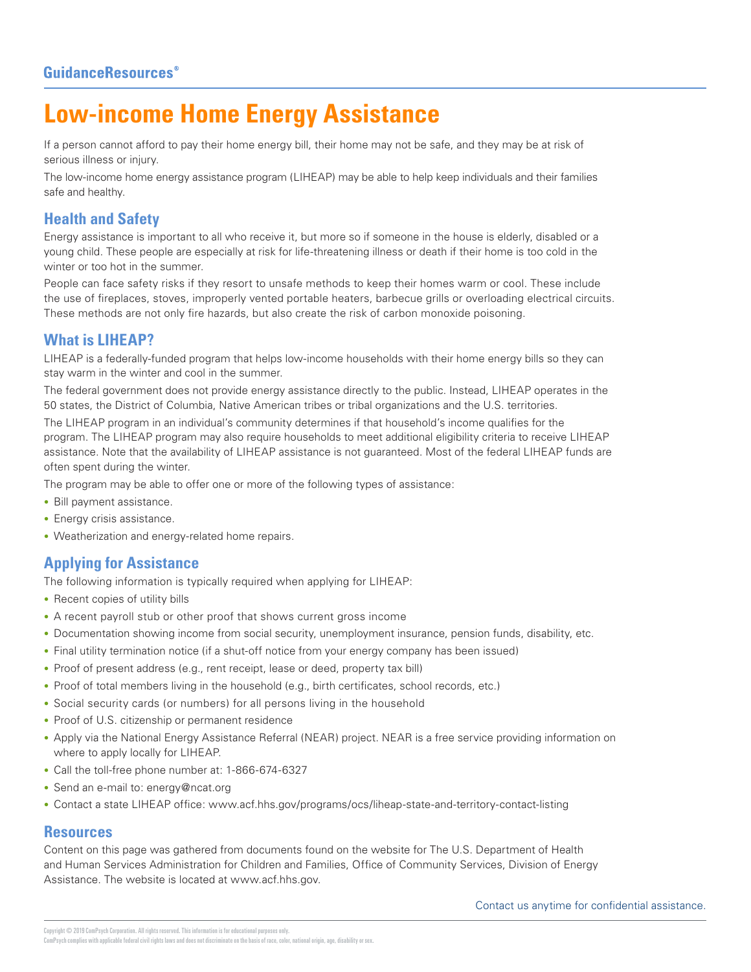## **Low-income Home Energy Assistance**

If a person cannot afford to pay their home energy bill, their home may not be safe, and they may be at risk of serious illness or injury.

The low-income home energy assistance program (LIHEAP) may be able to help keep individuals and their families safe and healthy.

### **Health and Safety**

Energy assistance is important to all who receive it, but more so if someone in the house is elderly, disabled or a young child. These people are especially at risk for life-threatening illness or death if their home is too cold in the winter or too hot in the summer.

People can face safety risks if they resort to unsafe methods to keep their homes warm or cool. These include the use of fireplaces, stoves, improperly vented portable heaters, barbecue grills or overloading electrical circuits. These methods are not only fire hazards, but also create the risk of carbon monoxide poisoning.

### **What is LIHEAP?**

LIHEAP is a federally-funded program that helps low-income households with their home energy bills so they can stay warm in the winter and cool in the summer.

The federal government does not provide energy assistance directly to the public. Instead, LIHEAP operates in the 50 states, the District of Columbia, Native American tribes or tribal organizations and the U.S. territories.

The LIHEAP program in an individual's community determines if that household's income qualifies for the program. The LIHEAP program may also require households to meet additional eligibility criteria to receive LIHEAP assistance. Note that the availability of LIHEAP assistance is not guaranteed. Most of the federal LIHEAP funds are often spent during the winter.

The program may be able to offer one or more of the following types of assistance:

- Bill payment assistance.
- Energy crisis assistance.
- Weatherization and energy-related home repairs.

### **Applying for Assistance**

The following information is typically required when applying for LIHEAP:

- Recent copies of utility bills
- A recent payroll stub or other proof that shows current gross income
- Documentation showing income from social security, unemployment insurance, pension funds, disability, etc.
- Final utility termination notice (if a shut-off notice from your energy company has been issued)
- Proof of present address (e.g., rent receipt, lease or deed, property tax bill)
- Proof of total members living in the household (e.g., birth certificates, school records, etc.)
- Social security cards (or numbers) for all persons living in the household
- Proof of U.S. citizenship or permanent residence
- Apply via the National Energy Assistance Referral (NEAR) project. NEAR is a free service providing information on where to apply locally for LIHEAP.
- Call the toll-free phone number at: 1-866-674-6327
- Send an e-mail to: energy@ncat.org
- Contact a state LIHEAP office: www.acf.hhs.gov/programs/ocs/liheap-state-and-territory-contact-listing

### **Resources**

Content on this page was gathered from documents found on the website for The U.S. Department of Health and Human Services Administration for Children and Families, Office of Community Services, Division of Energy Assistance. The website is located at www.acf.hhs.gov.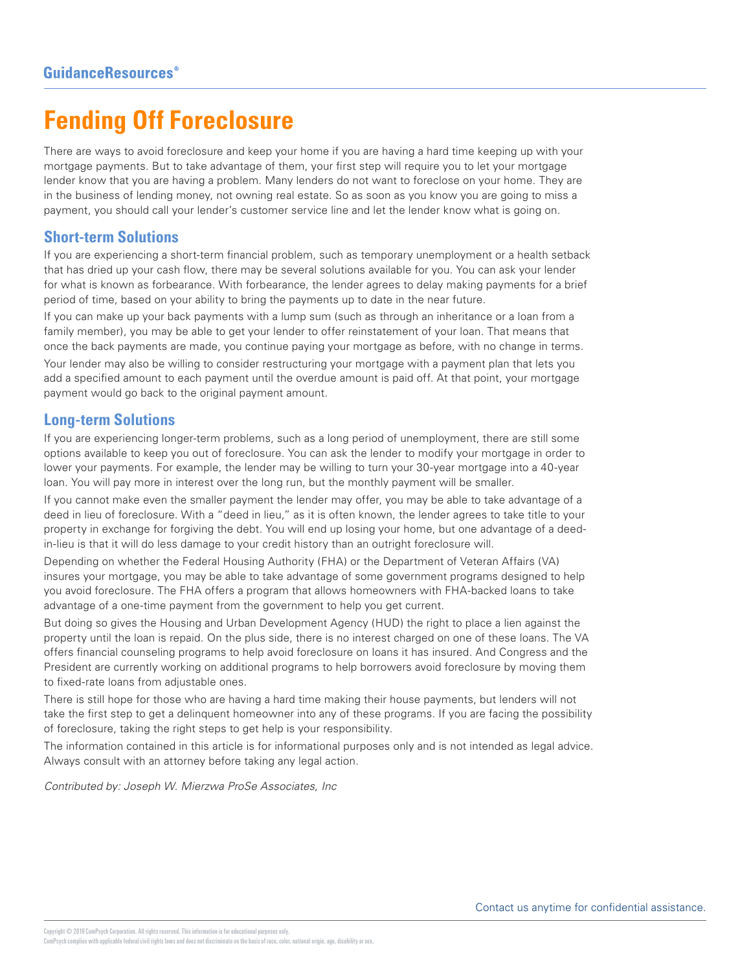## **Fending Off Foreclosure**

There are ways to avoid foreclosure and keep your home if you are having a hard time keeping up with your mortgage payments. But to take advantage of them, your first step will require you to let your mortgage lender know that you are having a problem. Many lenders do not want to foreclose on your home. They are in the business of lending money, not owning real estate. So as soon as you know you are going to miss a payment, you should call your lender's customer service line and let the lender know what is going on.

### **Short-term Solutions**

If you are experiencing a short-term financial problem, such as temporary unemployment or a health setback that has dried up your cash flow, there may be several solutions available for you. You can ask your lender for what is known as forbearance. With forbearance, the lender agrees to delay making payments for a brief period of time, based on your ability to bring the payments up to date in the near future.

If you can make up your back payments with a lump sum (such as through an inheritance or a loan from a family member), you may be able to get your lender to offer reinstatement of your loan. That means that once the back payments are made, you continue paying your mortgage as before, with no change in terms.

Your lender may also be willing to consider restructuring your mortgage with a payment plan that lets you add a specified amount to each payment until the overdue amount is paid off. At that point, your mortgage payment would go back to the original payment amount.

### **Long-term Solutions**

If you are experiencing longer-term problems, such as a long period of unemployment, there are still some options available to keep you out of foreclosure. You can ask the lender to modify your mortgage in order to lower your payments. For example, the lender may be willing to turn your 30-year mortgage into a 40-year loan. You will pay more in interest over the long run, but the monthly payment will be smaller.

If you cannot make even the smaller payment the lender may offer, you may be able to take advantage of a deed in lieu of foreclosure. With a "deed in lieu," as it is often known, the lender agrees to take title to your property in exchange for forgiving the debt. You will end up losing your home, but one advantage of a deedin-lieu is that it will do less damage to your credit history than an outright foreclosure will.

Depending on whether the Federal Housing Authority (FHA) or the Department of Veteran Affairs (VA) insures your mortgage, you may be able to take advantage of some government programs designed to help you avoid foreclosure. The FHA offers a program that allows homeowners with FHA-backed loans to take advantage of a one-time payment from the government to help you get current.

But doing so gives the Housing and Urban Development Agency (HUD) the right to place a lien against the property until the loan is repaid. On the plus side, there is no interest charged on one of these loans. The VA offers financial counseling programs to help avoid foreclosure on loans it has insured. And Congress and the President are currently working on additional programs to help borrowers avoid foreclosure by moving them to fixed-rate loans from adjustable ones.

There is still hope for those who are having a hard time making their house payments, but lenders will not take the first step to get a delinquent homeowner into any of these programs. If you are facing the possibility of foreclosure, taking the right steps to get help is your responsibility.

The information contained in this article is for informational purposes only and is not intended as legal advice. Always consult with an attorney before taking any legal action.

*Contributed by: Joseph W. Mierzwa ProSe Associates, Inc*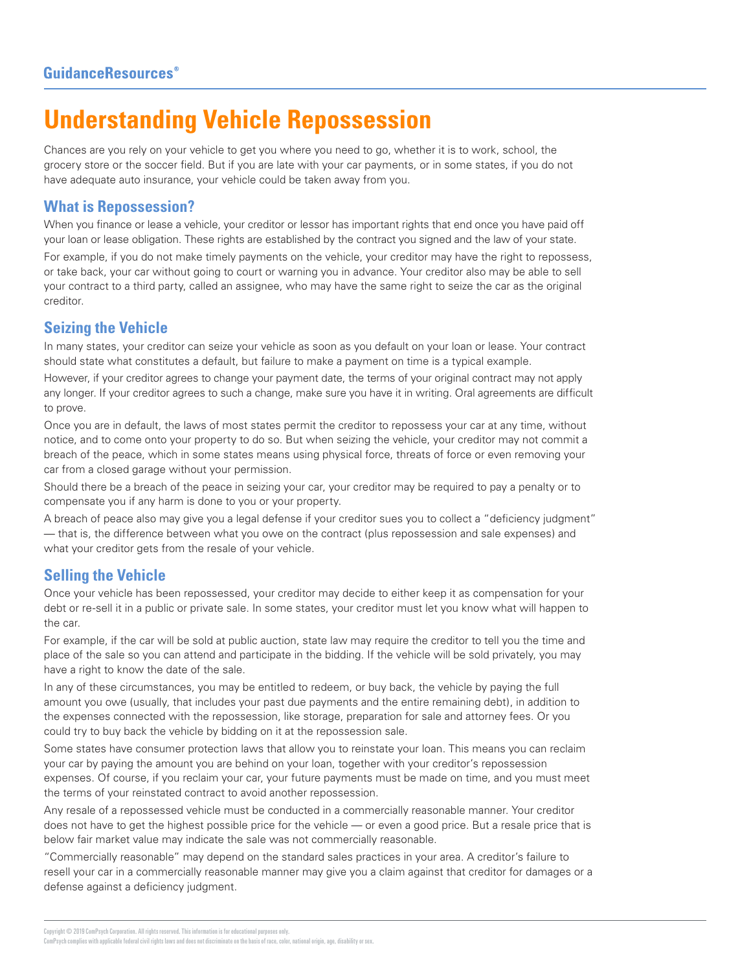### **Understanding Vehicle Repossession**

Chances are you rely on your vehicle to get you where you need to go, whether it is to work, school, the grocery store or the soccer field. But if you are late with your car payments, or in some states, if you do not have adequate auto insurance, your vehicle could be taken away from you.

### **What is Repossession?**

When you finance or lease a vehicle, your creditor or lessor has important rights that end once you have paid off your loan or lease obligation. These rights are established by the contract you signed and the law of your state.

For example, if you do not make timely payments on the vehicle, your creditor may have the right to repossess, or take back, your car without going to court or warning you in advance. Your creditor also may be able to sell your contract to a third party, called an assignee, who may have the same right to seize the car as the original creditor.

### **Seizing the Vehicle**

In many states, your creditor can seize your vehicle as soon as you default on your loan or lease. Your contract should state what constitutes a default, but failure to make a payment on time is a typical example.

However, if your creditor agrees to change your payment date, the terms of your original contract may not apply any longer. If your creditor agrees to such a change, make sure you have it in writing. Oral agreements are difficult to prove.

Once you are in default, the laws of most states permit the creditor to repossess your car at any time, without notice, and to come onto your property to do so. But when seizing the vehicle, your creditor may not commit a breach of the peace, which in some states means using physical force, threats of force or even removing your car from a closed garage without your permission.

Should there be a breach of the peace in seizing your car, your creditor may be required to pay a penalty or to compensate you if any harm is done to you or your property.

A breach of peace also may give you a legal defense if your creditor sues you to collect a "deficiency judgment" — that is, the difference between what you owe on the contract (plus repossession and sale expenses) and what your creditor gets from the resale of your vehicle.

### **Selling the Vehicle**

Once your vehicle has been repossessed, your creditor may decide to either keep it as compensation for your debt or re-sell it in a public or private sale. In some states, your creditor must let you know what will happen to the car.

For example, if the car will be sold at public auction, state law may require the creditor to tell you the time and place of the sale so you can attend and participate in the bidding. If the vehicle will be sold privately, you may have a right to know the date of the sale.

In any of these circumstances, you may be entitled to redeem, or buy back, the vehicle by paying the full amount you owe (usually, that includes your past due payments and the entire remaining debt), in addition to the expenses connected with the repossession, like storage, preparation for sale and attorney fees. Or you could try to buy back the vehicle by bidding on it at the repossession sale.

Some states have consumer protection laws that allow you to reinstate your loan. This means you can reclaim your car by paying the amount you are behind on your loan, together with your creditor's repossession expenses. Of course, if you reclaim your car, your future payments must be made on time, and you must meet the terms of your reinstated contract to avoid another repossession.

Any resale of a repossessed vehicle must be conducted in a commercially reasonable manner. Your creditor does not have to get the highest possible price for the vehicle — or even a good price. But a resale price that is below fair market value may indicate the sale was not commercially reasonable.

"Commercially reasonable" may depend on the standard sales practices in your area. A creditor's failure to resell your car in a commercially reasonable manner may give you a claim against that creditor for damages or a defense against a deficiency judgment.

Copyright © 2019 ComPsych Corporation. All rights reserved. This information is for educational purposes only.

ComPsych complies with applicable federal civil rights laws and does not discriminate on the basis of race, color, national origin, age, disability or sex.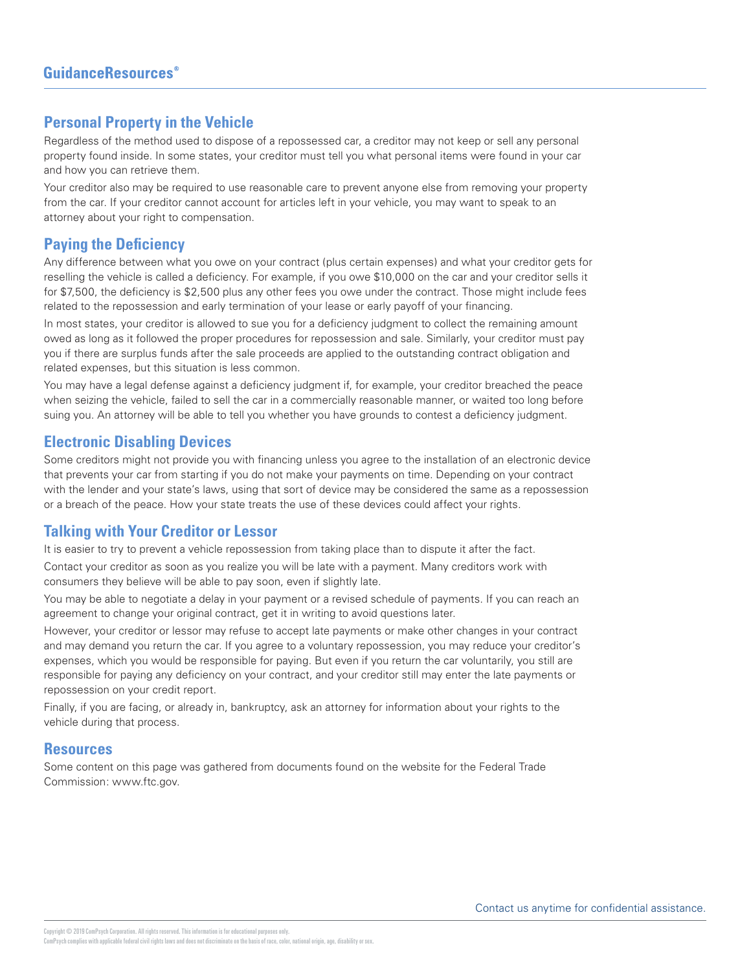### **Personal Property in the Vehicle**

Regardless of the method used to dispose of a repossessed car, a creditor may not keep or sell any personal property found inside. In some states, your creditor must tell you what personal items were found in your car and how you can retrieve them.

Your creditor also may be required to use reasonable care to prevent anyone else from removing your property from the car. If your creditor cannot account for articles left in your vehicle, you may want to speak to an attorney about your right to compensation.

### **Paying the Deficiency**

Any difference between what you owe on your contract (plus certain expenses) and what your creditor gets for reselling the vehicle is called a deficiency. For example, if you owe \$10,000 on the car and your creditor sells it for \$7,500, the deficiency is \$2,500 plus any other fees you owe under the contract. Those might include fees related to the repossession and early termination of your lease or early payoff of your financing.

In most states, your creditor is allowed to sue you for a deficiency judgment to collect the remaining amount owed as long as it followed the proper procedures for repossession and sale. Similarly, your creditor must pay you if there are surplus funds after the sale proceeds are applied to the outstanding contract obligation and related expenses, but this situation is less common.

You may have a legal defense against a deficiency judgment if, for example, your creditor breached the peace when seizing the vehicle, failed to sell the car in a commercially reasonable manner, or waited too long before suing you. An attorney will be able to tell you whether you have grounds to contest a deficiency judgment.

#### **Electronic Disabling Devices**

Some creditors might not provide you with financing unless you agree to the installation of an electronic device that prevents your car from starting if you do not make your payments on time. Depending on your contract with the lender and your state's laws, using that sort of device may be considered the same as a repossession or a breach of the peace. How your state treats the use of these devices could affect your rights.

### **Talking with Your Creditor or Lessor**

It is easier to try to prevent a vehicle repossession from taking place than to dispute it after the fact.

Contact your creditor as soon as you realize you will be late with a payment. Many creditors work with consumers they believe will be able to pay soon, even if slightly late.

You may be able to negotiate a delay in your payment or a revised schedule of payments. If you can reach an agreement to change your original contract, get it in writing to avoid questions later.

However, your creditor or lessor may refuse to accept late payments or make other changes in your contract and may demand you return the car. If you agree to a voluntary repossession, you may reduce your creditor's expenses, which you would be responsible for paying. But even if you return the car voluntarily, you still are responsible for paying any deficiency on your contract, and your creditor still may enter the late payments or repossession on your credit report.

Finally, if you are facing, or already in, bankruptcy, ask an attorney for information about your rights to the vehicle during that process.

### **Resources**

Some content on this page was gathered from documents found on the website for the Federal Trade Commission: www.ftc.gov.

Copyright © 2019 ComPsych Corporation. All rights reserved. This information is for educational purposes only.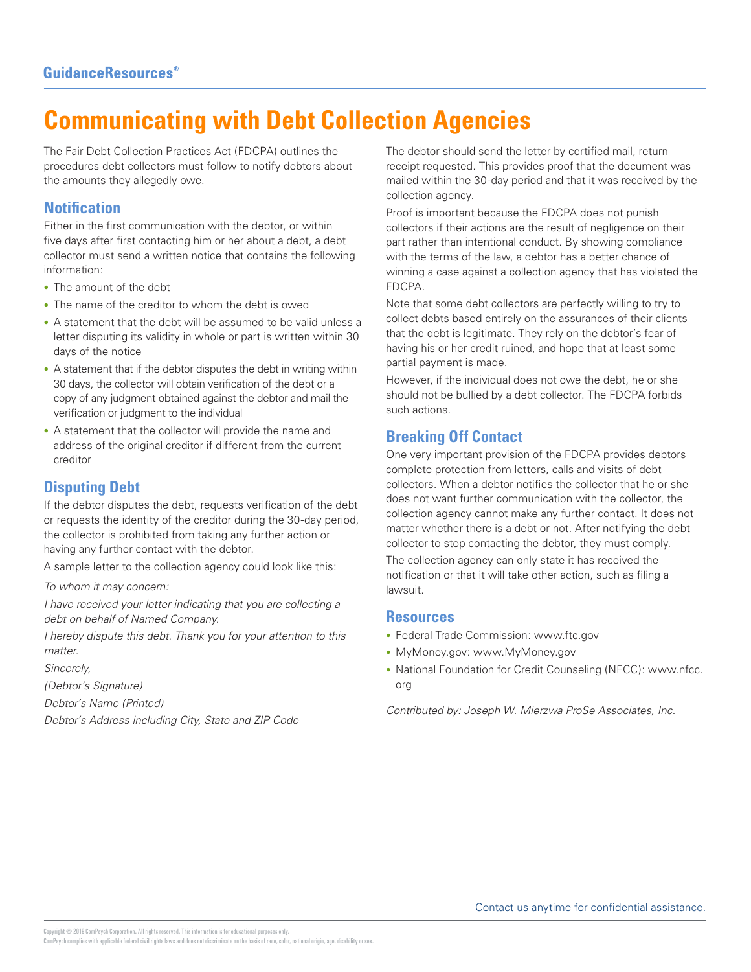# **Communicating with Debt Collection Agencies**

The Fair Debt Collection Practices Act (FDCPA) outlines the procedures debt collectors must follow to notify debtors about the amounts they allegedly owe.

### **Notification**

Either in the first communication with the debtor, or within five days after first contacting him or her about a debt, a debt collector must send a written notice that contains the following information:

- The amount of the debt
- The name of the creditor to whom the debt is owed
- A statement that the debt will be assumed to be valid unless a letter disputing its validity in whole or part is written within 30 days of the notice
- A statement that if the debtor disputes the debt in writing within 30 days, the collector will obtain verification of the debt or a copy of any judgment obtained against the debtor and mail the verification or judgment to the individual
- A statement that the collector will provide the name and address of the original creditor if different from the current creditor

### **Disputing Debt**

If the debtor disputes the debt, requests verification of the debt or requests the identity of the creditor during the 30-day period, the collector is prohibited from taking any further action or having any further contact with the debtor.

A sample letter to the collection agency could look like this:

*To whom it may concern:*

*I have received your letter indicating that you are collecting a debt on behalf of Named Company.*

*I hereby dispute this debt. Thank you for your attention to this matter.*

*Sincerely,* 

*(Debtor's Signature)* 

*Debtor's Name (Printed)* 

*Debtor's Address including City, State and ZIP Code*

The debtor should send the letter by certified mail, return receipt requested. This provides proof that the document was mailed within the 30-day period and that it was received by the collection agency.

Proof is important because the FDCPA does not punish collectors if their actions are the result of negligence on their part rather than intentional conduct. By showing compliance with the terms of the law, a debtor has a better chance of winning a case against a collection agency that has violated the FDCPA.

Note that some debt collectors are perfectly willing to try to collect debts based entirely on the assurances of their clients that the debt is legitimate. They rely on the debtor's fear of having his or her credit ruined, and hope that at least some partial payment is made.

However, if the individual does not owe the debt, he or she should not be bullied by a debt collector. The FDCPA forbids such actions.

### **Breaking Off Contact**

One very important provision of the FDCPA provides debtors complete protection from letters, calls and visits of debt collectors. When a debtor notifies the collector that he or she does not want further communication with the collector, the collection agency cannot make any further contact. It does not matter whether there is a debt or not. After notifying the debt collector to stop contacting the debtor, they must comply.

The collection agency can only state it has received the notification or that it will take other action, such as filing a lawsuit.

### **Resources**

- Federal Trade Commission: www.ftc.gov
- MyMoney.gov: www.MyMoney.gov
- National Foundation for Credit Counseling (NFCC): www.nfcc. org

*Contributed by: Joseph W. Mierzwa ProSe Associates, Inc.*

Copyright © 2019 ComPsych Corporation. All rights reserved. This information is for educational purposes only.

ComPsych complies with applicable federal civil rights laws and does not discriminate on the basis of race, color, national origin, age, disability or sex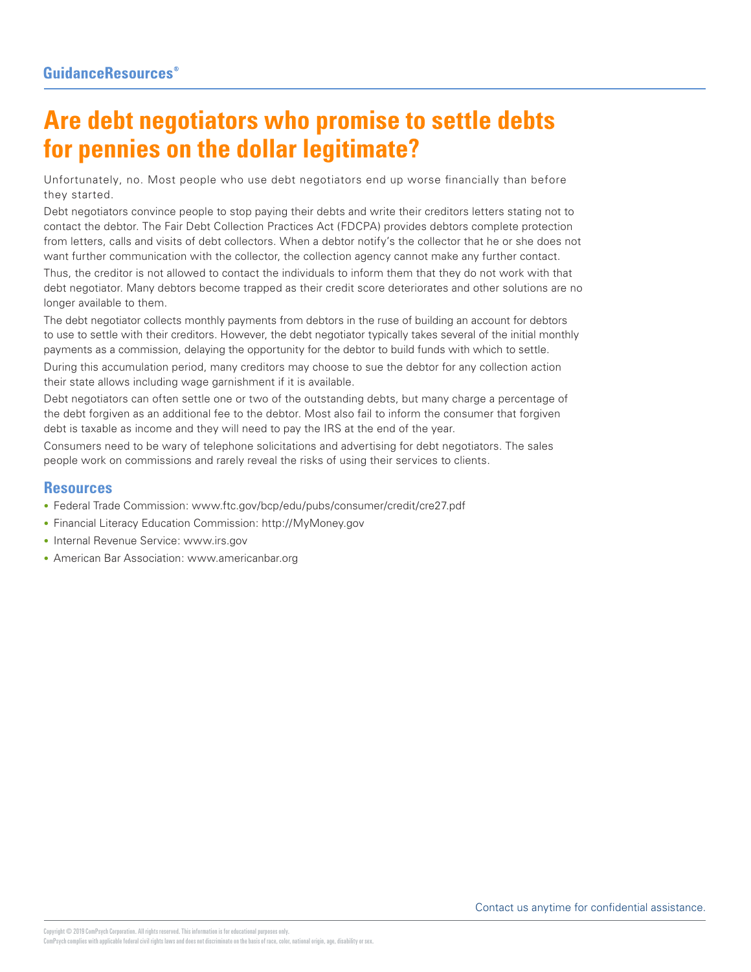### **Are debt negotiators who promise to settle debts for pennies on the dollar legitimate?**

Unfortunately, no. Most people who use debt negotiators end up worse financially than before they started.

Debt negotiators convince people to stop paying their debts and write their creditors letters stating not to contact the debtor. The Fair Debt Collection Practices Act (FDCPA) provides debtors complete protection from letters, calls and visits of debt collectors. When a debtor notify's the collector that he or she does not want further communication with the collector, the collection agency cannot make any further contact.

Thus, the creditor is not allowed to contact the individuals to inform them that they do not work with that debt negotiator. Many debtors become trapped as their credit score deteriorates and other solutions are no longer available to them.

The debt negotiator collects monthly payments from debtors in the ruse of building an account for debtors to use to settle with their creditors. However, the debt negotiator typically takes several of the initial monthly payments as a commission, delaying the opportunity for the debtor to build funds with which to settle.

During this accumulation period, many creditors may choose to sue the debtor for any collection action their state allows including wage garnishment if it is available.

Debt negotiators can often settle one or two of the outstanding debts, but many charge a percentage of the debt forgiven as an additional fee to the debtor. Most also fail to inform the consumer that forgiven debt is taxable as income and they will need to pay the IRS at the end of the year.

Consumers need to be wary of telephone solicitations and advertising for debt negotiators. The sales people work on commissions and rarely reveal the risks of using their services to clients.

- Federal Trade Commission: www.ftc.gov/bcp/edu/pubs/consumer/credit/cre27.pdf
- Financial Literacy Education Commission: http://MyMoney.gov
- Internal Revenue Service: www.irs.gov
- American Bar Association: www.americanbar.org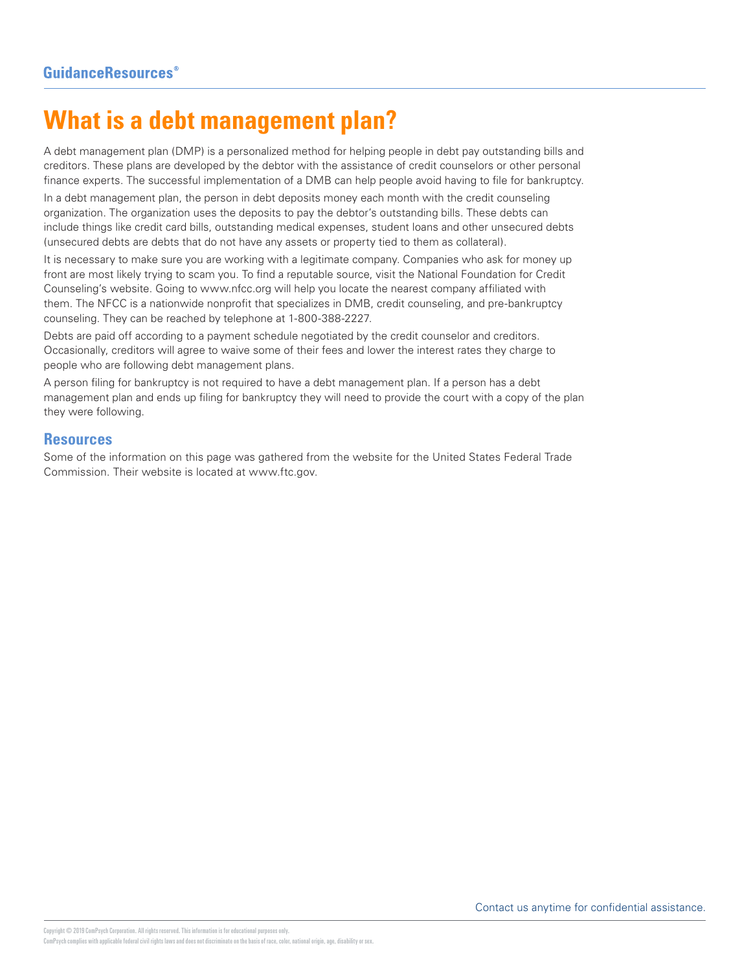### **What is a debt management plan?**

A debt management plan (DMP) is a personalized method for helping people in debt pay outstanding bills and creditors. These plans are developed by the debtor with the assistance of credit counselors or other personal finance experts. The successful implementation of a DMB can help people avoid having to file for bankruptcy.

In a debt management plan, the person in debt deposits money each month with the credit counseling organization. The organization uses the deposits to pay the debtor's outstanding bills. These debts can include things like credit card bills, outstanding medical expenses, student loans and other unsecured debts (unsecured debts are debts that do not have any assets or property tied to them as collateral).

It is necessary to make sure you are working with a legitimate company. Companies who ask for money up front are most likely trying to scam you. To find a reputable source, visit the National Foundation for Credit Counseling's website. Going to www.nfcc.org will help you locate the nearest company affiliated with them. The NFCC is a nationwide nonprofit that specializes in DMB, credit counseling, and pre-bankruptcy counseling. They can be reached by telephone at 1-800-388-2227.

Debts are paid off according to a payment schedule negotiated by the credit counselor and creditors. Occasionally, creditors will agree to waive some of their fees and lower the interest rates they charge to people who are following debt management plans.

A person filing for bankruptcy is not required to have a debt management plan. If a person has a debt management plan and ends up filing for bankruptcy they will need to provide the court with a copy of the plan they were following.

#### **Resources**

Some of the information on this page was gathered from the website for the United States Federal Trade Commission. Their website is located at www.ftc.gov.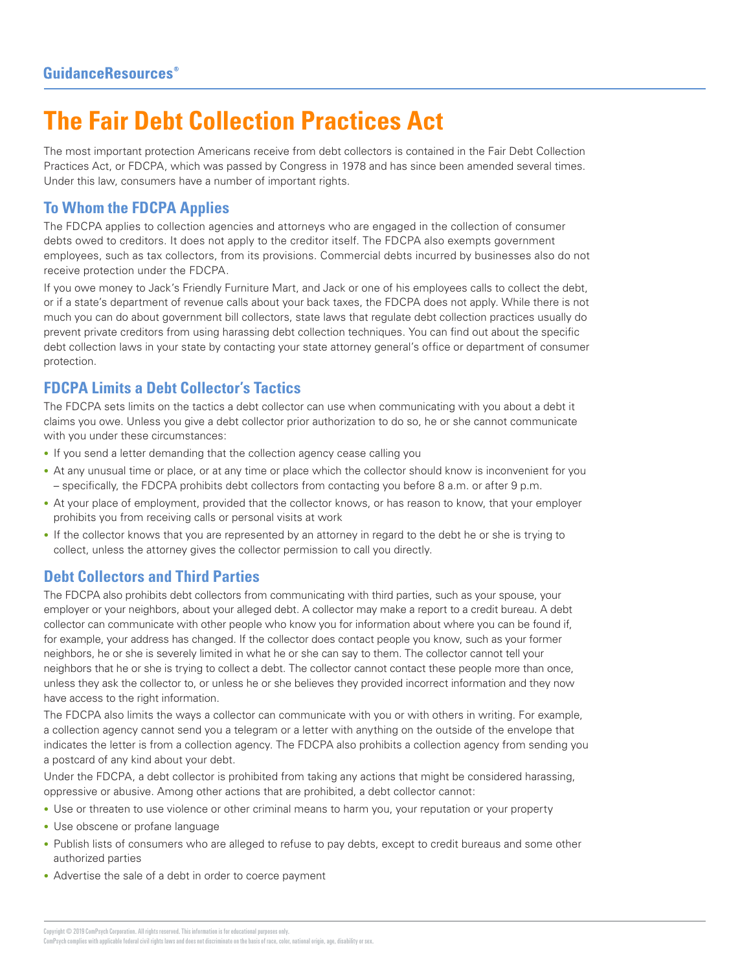## **The Fair Debt Collection Practices Act**

The most important protection Americans receive from debt collectors is contained in the Fair Debt Collection Practices Act, or FDCPA, which was passed by Congress in 1978 and has since been amended several times. Under this law, consumers have a number of important rights.

### **To Whom the FDCPA Applies**

The FDCPA applies to collection agencies and attorneys who are engaged in the collection of consumer debts owed to creditors. It does not apply to the creditor itself. The FDCPA also exempts government employees, such as tax collectors, from its provisions. Commercial debts incurred by businesses also do not receive protection under the FDCPA.

If you owe money to Jack's Friendly Furniture Mart, and Jack or one of his employees calls to collect the debt, or if a state's department of revenue calls about your back taxes, the FDCPA does not apply. While there is not much you can do about government bill collectors, state laws that regulate debt collection practices usually do prevent private creditors from using harassing debt collection techniques. You can find out about the specific debt collection laws in your state by contacting your state attorney general's office or department of consumer protection.

### **FDCPA Limits a Debt Collector's Tactics**

The FDCPA sets limits on the tactics a debt collector can use when communicating with you about a debt it claims you owe. Unless you give a debt collector prior authorization to do so, he or she cannot communicate with you under these circumstances:

- If you send a letter demanding that the collection agency cease calling you
- At any unusual time or place, or at any time or place which the collector should know is inconvenient for you – specifically, the FDCPA prohibits debt collectors from contacting you before 8 a.m. or after 9 p.m.
- At your place of employment, provided that the collector knows, or has reason to know, that your employer prohibits you from receiving calls or personal visits at work
- If the collector knows that you are represented by an attorney in regard to the debt he or she is trying to collect, unless the attorney gives the collector permission to call you directly.

### **Debt Collectors and Third Parties**

The FDCPA also prohibits debt collectors from communicating with third parties, such as your spouse, your employer or your neighbors, about your alleged debt. A collector may make a report to a credit bureau. A debt collector can communicate with other people who know you for information about where you can be found if, for example, your address has changed. If the collector does contact people you know, such as your former neighbors, he or she is severely limited in what he or she can say to them. The collector cannot tell your neighbors that he or she is trying to collect a debt. The collector cannot contact these people more than once, unless they ask the collector to, or unless he or she believes they provided incorrect information and they now have access to the right information.

The FDCPA also limits the ways a collector can communicate with you or with others in writing. For example, a collection agency cannot send you a telegram or a letter with anything on the outside of the envelope that indicates the letter is from a collection agency. The FDCPA also prohibits a collection agency from sending you a postcard of any kind about your debt.

Under the FDCPA, a debt collector is prohibited from taking any actions that might be considered harassing, oppressive or abusive. Among other actions that are prohibited, a debt collector cannot:

- Use or threaten to use violence or other criminal means to harm you, your reputation or your property
- Use obscene or profane language
- Publish lists of consumers who are alleged to refuse to pay debts, except to credit bureaus and some other authorized parties
- Advertise the sale of a debt in order to coerce payment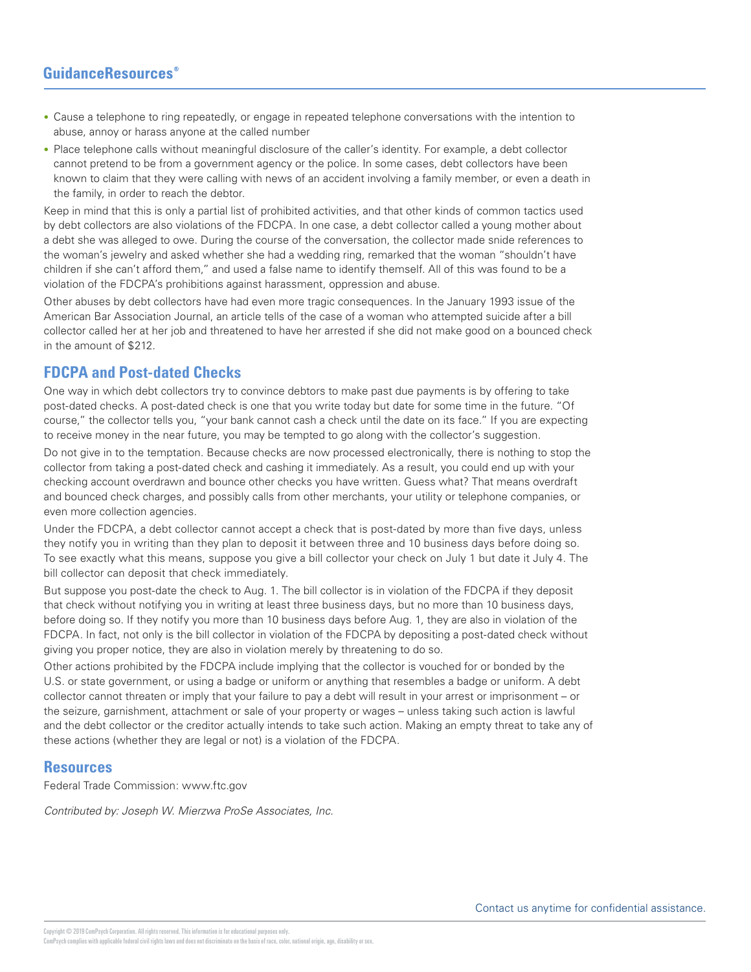### **GuidanceResources**<sup>®</sup>

- Cause a telephone to ring repeatedly, or engage in repeated telephone conversations with the intention to abuse, annoy or harass anyone at the called number
- Place telephone calls without meaningful disclosure of the caller's identity. For example, a debt collector cannot pretend to be from a government agency or the police. In some cases, debt collectors have been known to claim that they were calling with news of an accident involving a family member, or even a death in the family, in order to reach the debtor.

Keep in mind that this is only a partial list of prohibited activities, and that other kinds of common tactics used by debt collectors are also violations of the FDCPA. In one case, a debt collector called a young mother about a debt she was alleged to owe. During the course of the conversation, the collector made snide references to the woman's jewelry and asked whether she had a wedding ring, remarked that the woman "shouldn't have children if she can't afford them," and used a false name to identify themself. All of this was found to be a violation of the FDCPA's prohibitions against harassment, oppression and abuse.

Other abuses by debt collectors have had even more tragic consequences. In the January 1993 issue of the American Bar Association Journal, an article tells of the case of a woman who attempted suicide after a bill collector called her at her job and threatened to have her arrested if she did not make good on a bounced check in the amount of \$212.

### **FDCPA and Post-dated Checks**

One way in which debt collectors try to convince debtors to make past due payments is by offering to take post-dated checks. A post-dated check is one that you write today but date for some time in the future. "Of course," the collector tells you, "your bank cannot cash a check until the date on its face." If you are expecting to receive money in the near future, you may be tempted to go along with the collector's suggestion.

Do not give in to the temptation. Because checks are now processed electronically, there is nothing to stop the collector from taking a post-dated check and cashing it immediately. As a result, you could end up with your checking account overdrawn and bounce other checks you have written. Guess what? That means overdraft and bounced check charges, and possibly calls from other merchants, your utility or telephone companies, or even more collection agencies.

Under the FDCPA, a debt collector cannot accept a check that is post-dated by more than five days, unless they notify you in writing than they plan to deposit it between three and 10 business days before doing so. To see exactly what this means, suppose you give a bill collector your check on July 1 but date it July 4. The bill collector can deposit that check immediately.

But suppose you post-date the check to Aug. 1. The bill collector is in violation of the FDCPA if they deposit that check without notifying you in writing at least three business days, but no more than 10 business days, before doing so. If they notify you more than 10 business days before Aug. 1, they are also in violation of the FDCPA. In fact, not only is the bill collector in violation of the FDCPA by depositing a post-dated check without giving you proper notice, they are also in violation merely by threatening to do so.

Other actions prohibited by the FDCPA include implying that the collector is vouched for or bonded by the U.S. or state government, or using a badge or uniform or anything that resembles a badge or uniform. A debt collector cannot threaten or imply that your failure to pay a debt will result in your arrest or imprisonment – or the seizure, garnishment, attachment or sale of your property or wages – unless taking such action is lawful and the debt collector or the creditor actually intends to take such action. Making an empty threat to take any of these actions (whether they are legal or not) is a violation of the FDCPA.

#### **Resources**

Federal Trade Commission: www.ftc.gov

*Contributed by: Joseph W. Mierzwa ProSe Associates, Inc.*

Copyright © 2019 ComPsych Corporation. All rights reserved. This information is for educational purposes only.

ComPsych complies with applicable federal civil rights laws and does not discriminate on the basis of race, color, national origin, age, disability or sex.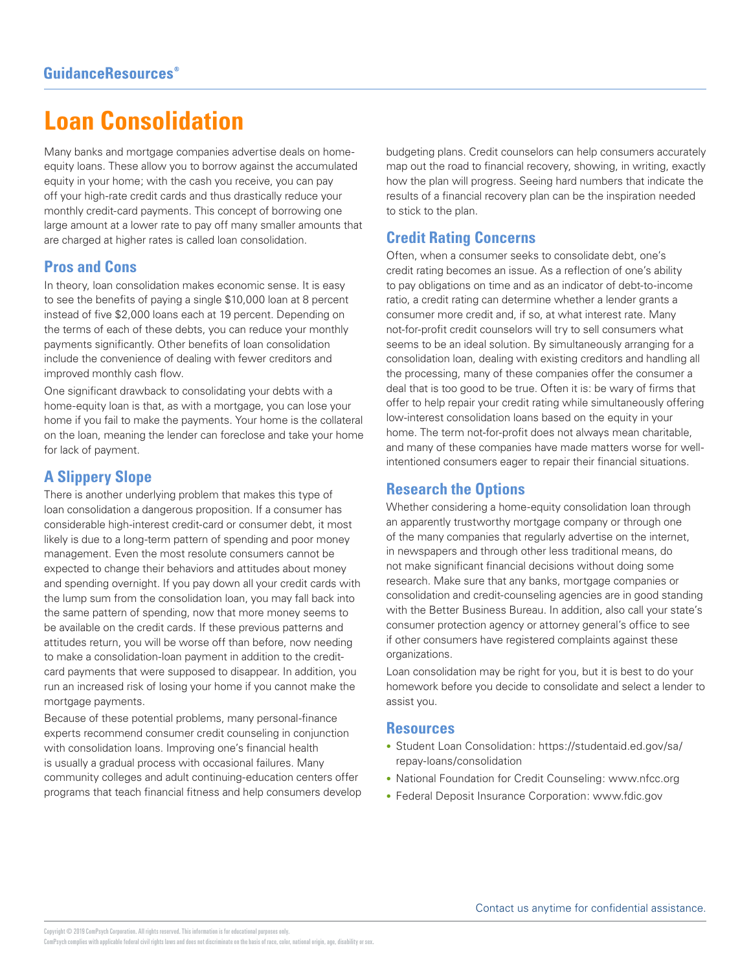## **Loan Consolidation**

Many banks and mortgage companies advertise deals on homeequity loans. These allow you to borrow against the accumulated equity in your home; with the cash you receive, you can pay off your high-rate credit cards and thus drastically reduce your monthly credit-card payments. This concept of borrowing one large amount at a lower rate to pay off many smaller amounts that are charged at higher rates is called loan consolidation.

### **Pros and Cons**

In theory, loan consolidation makes economic sense. It is easy to see the benefits of paying a single \$10,000 loan at 8 percent instead of five \$2,000 loans each at 19 percent. Depending on the terms of each of these debts, you can reduce your monthly payments significantly. Other benefits of loan consolidation include the convenience of dealing with fewer creditors and improved monthly cash flow.

One significant drawback to consolidating your debts with a home-equity loan is that, as with a mortgage, you can lose your home if you fail to make the payments. Your home is the collateral on the loan, meaning the lender can foreclose and take your home for lack of payment.

### **A Slippery Slope**

There is another underlying problem that makes this type of loan consolidation a dangerous proposition. If a consumer has considerable high-interest credit-card or consumer debt, it most likely is due to a long-term pattern of spending and poor money management. Even the most resolute consumers cannot be expected to change their behaviors and attitudes about money and spending overnight. If you pay down all your credit cards with the lump sum from the consolidation loan, you may fall back into the same pattern of spending, now that more money seems to be available on the credit cards. If these previous patterns and attitudes return, you will be worse off than before, now needing to make a consolidation-loan payment in addition to the creditcard payments that were supposed to disappear. In addition, you run an increased risk of losing your home if you cannot make the mortgage payments.

Because of these potential problems, many personal-finance experts recommend consumer credit counseling in conjunction with consolidation loans. Improving one's financial health is usually a gradual process with occasional failures. Many community colleges and adult continuing-education centers offer programs that teach financial fitness and help consumers develop budgeting plans. Credit counselors can help consumers accurately map out the road to financial recovery, showing, in writing, exactly how the plan will progress. Seeing hard numbers that indicate the results of a financial recovery plan can be the inspiration needed to stick to the plan.

### **Credit Rating Concerns**

Often, when a consumer seeks to consolidate debt, one's credit rating becomes an issue. As a reflection of one's ability to pay obligations on time and as an indicator of debt-to-income ratio, a credit rating can determine whether a lender grants a consumer more credit and, if so, at what interest rate. Many not-for-profit credit counselors will try to sell consumers what seems to be an ideal solution. By simultaneously arranging for a consolidation loan, dealing with existing creditors and handling all the processing, many of these companies offer the consumer a deal that is too good to be true. Often it is: be wary of firms that offer to help repair your credit rating while simultaneously offering low-interest consolidation loans based on the equity in your home. The term not-for-profit does not always mean charitable, and many of these companies have made matters worse for wellintentioned consumers eager to repair their financial situations.

### **Research the Options**

Whether considering a home-equity consolidation loan through an apparently trustworthy mortgage company or through one of the many companies that regularly advertise on the internet, in newspapers and through other less traditional means, do not make significant financial decisions without doing some research. Make sure that any banks, mortgage companies or consolidation and credit-counseling agencies are in good standing with the Better Business Bureau. In addition, also call your state's consumer protection agency or attorney general's office to see if other consumers have registered complaints against these organizations.

Loan consolidation may be right for you, but it is best to do your homework before you decide to consolidate and select a lender to assist you.

- Student Loan Consolidation: https://studentaid.ed.gov/sa/ repay-loans/consolidation
- National Foundation for Credit Counseling: www.nfcc.org
- Federal Deposit Insurance Corporation: www.fdic.gov

Copyright © 2019 ComPsych Corporation. All rights reserved. This information is for educational purposes only.

ComPsych complies with applicable federal civil rights laws and does not discriminate on the basis of race, color, national origin, age, disability or sex.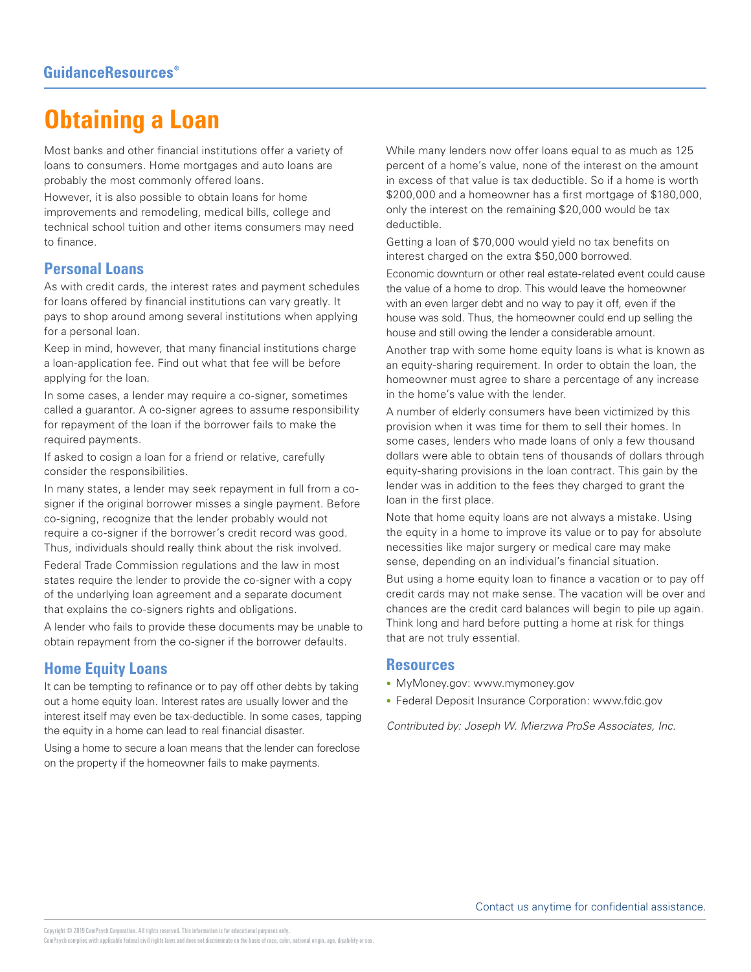# **Obtaining a Loan**

Most banks and other financial institutions offer a variety of loans to consumers. Home mortgages and auto loans are probably the most commonly offered loans.

However, it is also possible to obtain loans for home improvements and remodeling, medical bills, college and technical school tuition and other items consumers may need to finance.

### **Personal Loans**

As with credit cards, the interest rates and payment schedules for loans offered by financial institutions can vary greatly. It pays to shop around among several institutions when applying for a personal loan.

Keep in mind, however, that many financial institutions charge a loan-application fee. Find out what that fee will be before applying for the loan.

In some cases, a lender may require a co-signer, sometimes called a guarantor. A co-signer agrees to assume responsibility for repayment of the loan if the borrower fails to make the required payments.

If asked to cosign a loan for a friend or relative, carefully consider the responsibilities.

In many states, a lender may seek repayment in full from a cosigner if the original borrower misses a single payment. Before co-signing, recognize that the lender probably would not require a co-signer if the borrower's credit record was good. Thus, individuals should really think about the risk involved.

Federal Trade Commission regulations and the law in most states require the lender to provide the co-signer with a copy of the underlying loan agreement and a separate document that explains the co-signers rights and obligations.

A lender who fails to provide these documents may be unable to obtain repayment from the co-signer if the borrower defaults.

### **Home Equity Loans**

It can be tempting to refinance or to pay off other debts by taking out a home equity loan. Interest rates are usually lower and the interest itself may even be tax-deductible. In some cases, tapping the equity in a home can lead to real financial disaster.

Using a home to secure a loan means that the lender can foreclose on the property if the homeowner fails to make payments.

While many lenders now offer loans equal to as much as 125 percent of a home's value, none of the interest on the amount in excess of that value is tax deductible. So if a home is worth \$200,000 and a homeowner has a first mortgage of \$180,000. only the interest on the remaining \$20,000 would be tax deductible.

Getting a loan of \$70,000 would yield no tax benefits on interest charged on the extra \$50,000 borrowed.

Economic downturn or other real estate-related event could cause the value of a home to drop. This would leave the homeowner with an even larger debt and no way to pay it off, even if the house was sold. Thus, the homeowner could end up selling the house and still owing the lender a considerable amount.

Another trap with some home equity loans is what is known as an equity-sharing requirement. In order to obtain the loan, the homeowner must agree to share a percentage of any increase in the home's value with the lender.

A number of elderly consumers have been victimized by this provision when it was time for them to sell their homes. In some cases, lenders who made loans of only a few thousand dollars were able to obtain tens of thousands of dollars through equity-sharing provisions in the loan contract. This gain by the lender was in addition to the fees they charged to grant the loan in the first place.

Note that home equity loans are not always a mistake. Using the equity in a home to improve its value or to pay for absolute necessities like major surgery or medical care may make sense, depending on an individual's financial situation.

But using a home equity loan to finance a vacation or to pay off credit cards may not make sense. The vacation will be over and chances are the credit card balances will begin to pile up again. Think long and hard before putting a home at risk for things that are not truly essential.

#### **Resources**

- MyMoney.gov: www.mymoney.gov
- Federal Deposit Insurance Corporation: www.fdic.gov

*Contributed by: Joseph W. Mierzwa ProSe Associates, Inc.*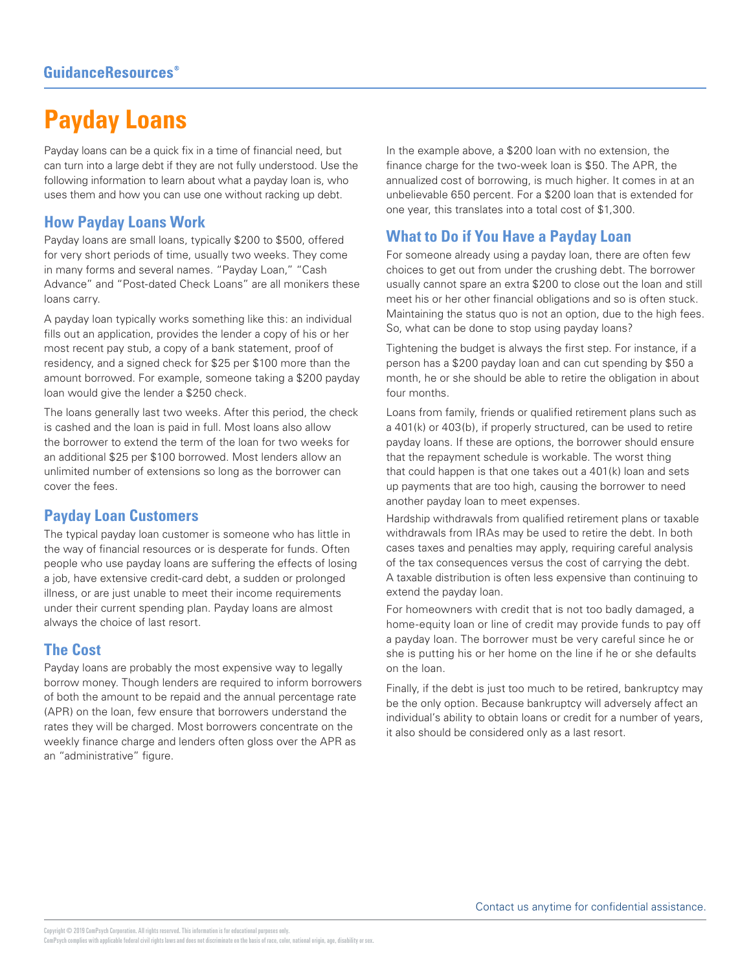# **Payday Loans**

Payday loans can be a quick fix in a time of financial need, but can turn into a large debt if they are not fully understood. Use the following information to learn about what a payday loan is, who uses them and how you can use one without racking up debt.

### **How Payday Loans Work**

Payday loans are small loans, typically \$200 to \$500, offered for very short periods of time, usually two weeks. They come in many forms and several names. "Payday Loan," "Cash Advance" and "Post-dated Check Loans" are all monikers these loans carry.

A payday loan typically works something like this: an individual fills out an application, provides the lender a copy of his or her most recent pay stub, a copy of a bank statement, proof of residency, and a signed check for \$25 per \$100 more than the amount borrowed. For example, someone taking a \$200 payday loan would give the lender a \$250 check.

The loans generally last two weeks. After this period, the check is cashed and the loan is paid in full. Most loans also allow the borrower to extend the term of the loan for two weeks for an additional \$25 per \$100 borrowed. Most lenders allow an unlimited number of extensions so long as the borrower can cover the fees.

### **Payday Loan Customers**

The typical payday loan customer is someone who has little in the way of financial resources or is desperate for funds. Often people who use payday loans are suffering the effects of losing a job, have extensive credit-card debt, a sudden or prolonged illness, or are just unable to meet their income requirements under their current spending plan. Payday loans are almost always the choice of last resort.

### **The Cost**

Payday loans are probably the most expensive way to legally borrow money. Though lenders are required to inform borrowers of both the amount to be repaid and the annual percentage rate (APR) on the loan, few ensure that borrowers understand the rates they will be charged. Most borrowers concentrate on the weekly finance charge and lenders often gloss over the APR as an "administrative" figure.

In the example above, a \$200 loan with no extension, the finance charge for the two-week loan is \$50. The APR, the annualized cost of borrowing, is much higher. It comes in at an unbelievable 650 percent. For a \$200 loan that is extended for one year, this translates into a total cost of \$1,300.

### **What to Do if You Have a Payday Loan**

For someone already using a payday loan, there are often few choices to get out from under the crushing debt. The borrower usually cannot spare an extra \$200 to close out the loan and still meet his or her other financial obligations and so is often stuck. Maintaining the status quo is not an option, due to the high fees. So, what can be done to stop using payday loans?

Tightening the budget is always the first step. For instance, if a person has a \$200 payday loan and can cut spending by \$50 a month, he or she should be able to retire the obligation in about four months.

Loans from family, friends or qualified retirement plans such as a 401(k) or 403(b), if properly structured, can be used to retire payday loans. If these are options, the borrower should ensure that the repayment schedule is workable. The worst thing that could happen is that one takes out a 401(k) loan and sets up payments that are too high, causing the borrower to need another payday loan to meet expenses.

Hardship withdrawals from qualified retirement plans or taxable withdrawals from IRAs may be used to retire the debt. In both cases taxes and penalties may apply, requiring careful analysis of the tax consequences versus the cost of carrying the debt. A taxable distribution is often less expensive than continuing to extend the payday loan.

For homeowners with credit that is not too badly damaged, a home-equity loan or line of credit may provide funds to pay off a payday loan. The borrower must be very careful since he or she is putting his or her home on the line if he or she defaults on the loan.

Finally, if the debt is just too much to be retired, bankruptcy may be the only option. Because bankruptcy will adversely affect an individual's ability to obtain loans or credit for a number of years, it also should be considered only as a last resort.